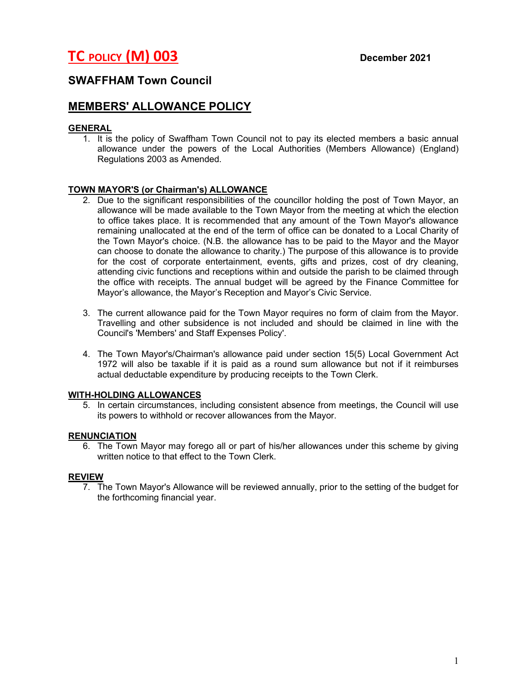# TC POLICY (M) 003 December 2021

# SWAFFHAM Town Council

# MEMBERS' ALLOWANCE POLICY

## GENERAL

1. It is the policy of Swaffham Town Council not to pay its elected members a basic annual allowance under the powers of the Local Authorities (Members Allowance) (England) Regulations 2003 as Amended.

## TOWN MAYOR'S (or Chairman's) ALLOWANCE

- 2. Due to the significant responsibilities of the councillor holding the post of Town Mayor, an allowance will be made available to the Town Mayor from the meeting at which the election to office takes place. It is recommended that any amount of the Town Mayor's allowance remaining unallocated at the end of the term of office can be donated to a Local Charity of the Town Mayor's choice. (N.B. the allowance has to be paid to the Mayor and the Mayor can choose to donate the allowance to charity.) The purpose of this allowance is to provide for the cost of corporate entertainment, events, gifts and prizes, cost of dry cleaning, attending civic functions and receptions within and outside the parish to be claimed through the office with receipts. The annual budget will be agreed by the Finance Committee for Mayor's allowance, the Mayor's Reception and Mayor's Civic Service.
- 3. The current allowance paid for the Town Mayor requires no form of claim from the Mayor. Travelling and other subsidence is not included and should be claimed in line with the Council's 'Members' and Staff Expenses Policy'.
- 4. The Town Mayor's/Chairman's allowance paid under section 15(5) Local Government Act 1972 will also be taxable if it is paid as a round sum allowance but not if it reimburses actual deductable expenditure by producing receipts to the Town Clerk.

#### WITH-HOLDING ALLOWANCES

5. In certain circumstances, including consistent absence from meetings, the Council will use its powers to withhold or recover allowances from the Mayor.

#### RENUNCIATION

6. The Town Mayor may forego all or part of his/her allowances under this scheme by giving written notice to that effect to the Town Clerk.

#### REVIEW

7. The Town Mayor's Allowance will be reviewed annually, prior to the setting of the budget for the forthcoming financial year.